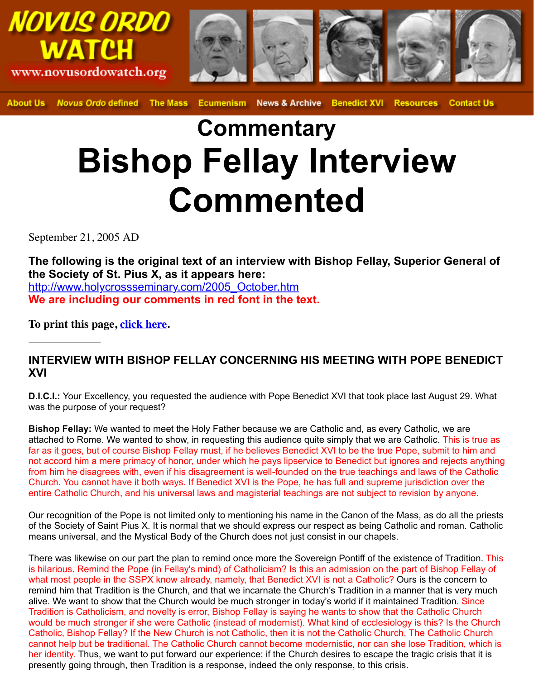## **Commentary Bishop Fellay Interview Commented**

September 21, 2005 AD

The following is the original text of an interview with Bishop Fellay, Superio **the Society of St. Pius X, as it appears here:** http://www.holycrossseminary.com/2005\_October.htm **We are including our comments in red font in the text.**

**To print this page, click here.**

## **INTERVIEW WITH BISHOP FELLAY CONCERNING HIS MEETING WITH POP XVI**

**D.I.C.I.:** [Your Excellency, you requested the audience with Pope Be](http://www.holycrossseminary.com/2005_October.htm)nedict XVI that took place last A was the purpose of your request?

**Bishop Fellay:** We wanted to meet the Holy Father because we are Catholic and, as every Catholic attached to Rome. W[e wanted to s](http://novusordowatch.org/story092105print.htm)how, in requesting this audience quite simply that we are Catholic. far as it goes, but of course Bishop Fellay must, if he believes Benedict XVI to be the true Pope, submite to him and and and and an election and and and and and the true Pope, subnot accord him a mere primacy of honor, under which he pays lipservice to Benedict but ignores and from him he disagrees with, even if his disagreement is well-founded on the true teachings and laws Church. You cannot have it both ways. If Benedict XVI is the Pope, he has full and supreme jurisdiction over the Muslim over the Nurs and Supreme interaction over the United Supreme interaction over the United Supreme inte entire Catholic Church, and his universal laws and magisterial teachings are not subject to revision I

Our recognition of the Pope is not limited only to mentioning his name in the Canon of the Mass, as of the Society of Saint Pius X. It is normal that we should express our respect as being Catholic and means universal, and the Mystical Body of the Church does not just consist in our chapels.

There was likewise on our part the plan to remind once more the Sovereign Pontiff of the existence is hilarious. Remind the Pope (in Fellay's mind) of Catholicism? Is this an admission on the part of B what most people in the SSPX know already, namely, that Benedict XVI is not a Catholic? Ours is the remind him that Tradition is the Church, and that we incarnate the Church's Tradition in a manner th alive. We want to show that the Church would be much stronger in today's world if it maintained Tra Tradition is Catholicism, and novelty is error, Bishop Fellay is saying he wants to show that the Cath would be much stronger if she were Catholic (instead of modernist). What kind of ecclesiology is this Catholic, Bishop Fellay? If the New Church is not Catholic, then it is not the Catholic Church. The Catholic cannot help but be traditional. The Catholic Church cannot become modernistic, nor can she lose Tradition, which is the isoher identity. Thus, we want to put forward our experience: if the Church desires to escape the tragic presently going through, then Tradition is a response, indeed the only response, to this crisis.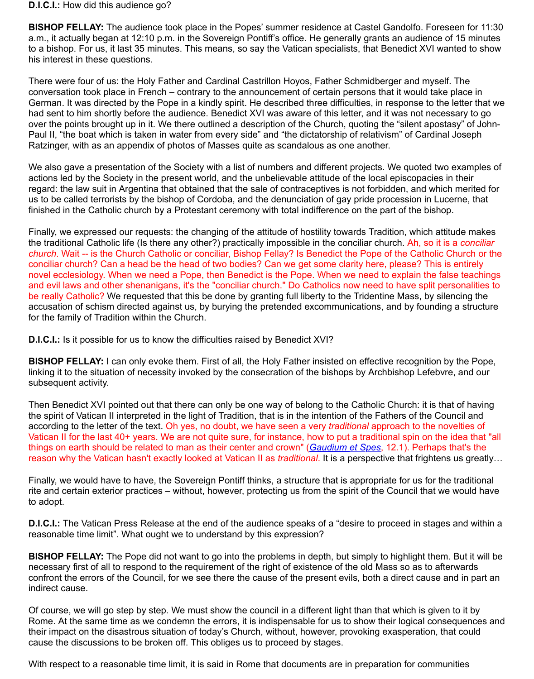had sent to him shortly before the audience. Benedict XVI was aware of this letter, and it was not necessary to go over the points brought up in it. We there outlined a description of the Church, quoting the "silent ap Paul II, "the boat which is taken in water from every side" and "the dictatorship of relativism" of Card Ratzinger, with as an appendix of photos of Masses quite as scandalous as one another.

We also gave a presentation of the Society with a list of numbers and different projects. We quoted actions led by the Society in the present world, and the unbelievable attitude of the local episcopacies regard: the law suit in Argentina that obtained that the sale of contraceptives is not forbidden, and w us to be called terrorists by the bishop of Cordoba, and the denunciation of gay pride procession in I finished in the Catholic church by a Protestant ceremony with total indifference on the part of the bishop.

Finally, we expressed our requests: the changing of the attitude of hostility towards Tradition, which the traditional Catholic life (Is there any other?) practically impossible in the conciliar church. Ah, so *church*. Wait -- is the Church Catholic or conciliar, Bishop Fellay? Is Benedict the Pope of the Catho conciliar church? Can a head be the head of two bodies? Can we get some clarity here, please? The novel ecclesiology. When we need a Pope, then Benedict is the Pope. When we need to explain the and evil laws and other shenanigans, it's the "conciliar church." Do Catholics now need to have split be really Catholic? We requested that this be done by granting full liberty to the Tridentine Mass, by accusation of schism directed against us, by burying the pretended excommunications, and by foun for the family of Tradition within the Church.

**D.I.C.I.:** Is it possible for us to know the difficulties raised by Benedict XVI?

**BISHOP FELLAY:** I can only evoke them. First of all, the Holy Father insisted on effective recognition linking it to the situation of necessity invoked by the consecration of the bishops by Archbishop Lefe subsequent activity.

Then Benedict XVI pointed out that there can only be one way of belong to the Catholic Church: it is the spirit of Vatican II interpreted in the light of Tradition, that is in the intention of the Fathers of the according to the letter of the text. Oh yes, no doubt, we have seen a very *traditional* approach to the Vatican II for the last 40+ years. We are not quite sure, for instance, how to put a traditional spin on things on earth should be related to man as their center and crown" (*Gaudium et Spes*, 12.1). Perha reason why the Vatican hasn't exactly looked at Vatican II as *traditional*. It is a perspective that fright

Finally, we would have to have, the Sovereign Pontiff thinks, a structure that is appropriate for us for rite and certain exterior practices – without, however, protecting us from the spirit of the Council that to adopt.

**D.I.C.I.:** The Vatican Press Release at the end of the audience speaks of a "desire to proceed in stages and with a reasonable time limit". What ought we to understand by this expression?

**BISHOP FELLAY:** The Pope did not want to go into the problems in depth, but simply to highlight them. But it will be it will be it will be it will be it will be it will be it will be it will be it will be it will be it wi necessary first of all to respond to the requirement of the right of exi[stence of the old M](http://www.vatican.va/archive/hist_councils/ii_vatican_council/documents/vat-ii_cons_19651207_gaudium-et-spes_en.html)ass so as to confront the errors of the Council, for we see there the cause of the present evils, both a direct caus indirect cause.

Of course, we will go step by step. We must show the council in a different light than that which is given Rome. At the same time as we condemn the errors, it is indispensable for us to show their logical consequences and  $\alpha$ their impact on the disastrous situation of today's Church, without, however, provoking exasperation cause the discussions to be broken off. This obliges us to proceed by stages.

With respect to a reasonable time limit, it is said in Rome that documents are in preparation for community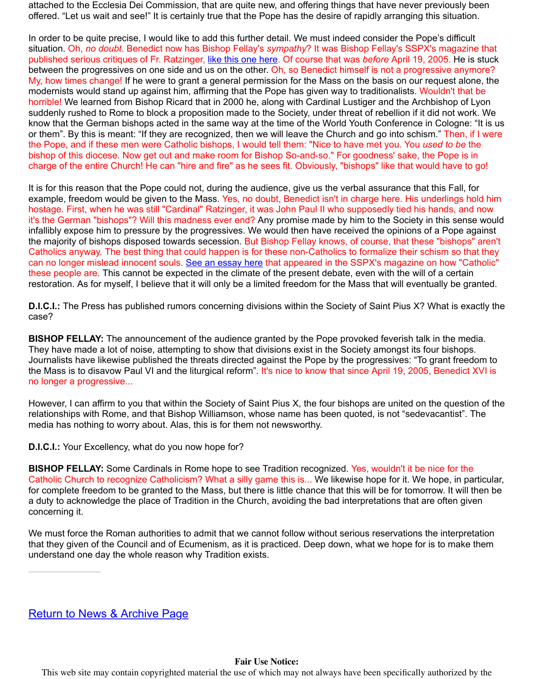suddenly rushed to Rome to block a proposition made to the Society, under threat of rebellion if it did not work. We know that the German bishops acted in the same way at the time of the World Youth Conference in or them". By this is meant: "If they are recognized, then we will leave the Church and go into schism the Pope, and if these men were Catholic bishops, I would tell them: "Nice to have met you. You use bishop of this diocese. Now get out and make room for Bishop So-and-so." For goodness' sake, the charge of the entire Church! He can "hire a[nd fire" as he sees](http://www.sspxasia.com/Documents/SiSiNoNo/1994_June/They_Think_Theyve_Won_PartVI.htm) fit. Obviously, "bishops" like that woul

It is for this reason that the Pope could not, during the audience, give us the verbal assurance that the example, freedom would be given to the Mass. Yes, no doubt, Benedict isn't in charge here. His under hostage. First, when he was still "Cardinal" Ratzinger, it was John Paul II who supposedly tied his hands, and now it's the German "bishops"? Will this madness ever end? Any promise made by him to the Society in infallibly expose him to pressure by the progressives. We would then have received the opinions of the majority of bishops disposed towards secession. But Bishop Fellay knows, of course, that these Catholics anyway. The best thing that could happen is for these non-Catholics to formalize their schi can no longer mislead innocent souls. See an essay here that appeared in the SSPX's magazine or these people are. This cannot be expected in the climate of the present debate, even with the will of restoration. As for myself, I believe that it will only be a limited freedom for the Mass that will eventually

**D.I.C.I.:** The Press has published rumors concerning divisions within the Society of Saint Pius X? W case?

**BISHOP FELLAY:** The announcement of the audience granted by the Pope provoked feverish talk in They have made a lot of noise, attempting to show that divisions exist in the Society amongst its four Journalists have likewise published the threats directed against the Pope by the progressives: "To g the Mass is to disavow Paul VI and th[e liturgical reform". I](http://www.sspxasia.com/Documents/SiSiNoNo/2001_November/Cardinals_With_No_Faith.htm)t's nice to know that since April 19, 2005, I no longer a progressive...

However, I can affirm to you that within the Society of Saint Pius X, the four bishops are united on the guestion of the society of Saint Pius X, the four bishops are united on the guestion of the society of Saint Pius X. relationships with Rome, and that Bishop Williamson, whose name has been quoted, is not "sedeva media has nothing to worry about. Alas, this is for them not newsworthy.

**D.I.C.I.:** Your Excellency, what do you now hope for?

**BISHOP FELLAY:** Some Cardinals in Rome hope to see Tradition recognized. Yes, wouldn't it be ni Catholic Church to recognize Catholicism? What a silly game this is... We likewise hope for it. We hope, in particular, in particular, we have the model of the model of the model of the model of the model of the model of t for complete freedom to be granted to the Mass, but there is little chance that this will be for tomorro a duty to acknowledge the place of Tradition in the Church, avoiding the bad interpretations that are concerning it.

We must force the Roman authorities to admit that we cannot follow without serious reservations the that they given of the Council and of Ecumenism, as it is practiced. Deep down, what we hope for is understand one day the whole reason why Tradition exists.

This web site may contain copyrighted material the use of which may not always have been specifically au

Return to News & Archive Page